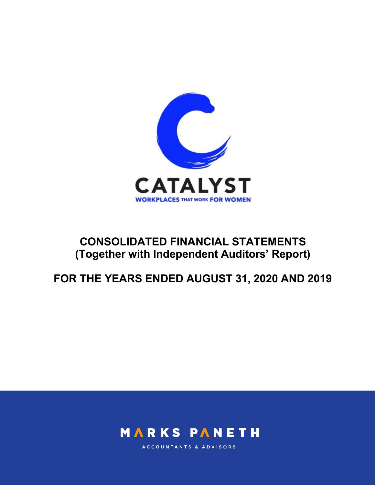

# CONSOLIDATED FINANCIAL STATEMENTS (Together with Independent Auditors' Report)

FOR THE YEARS ENDED AUGUST 31, 2020 AND 2019



ACCOUNTANTS & ADVISORS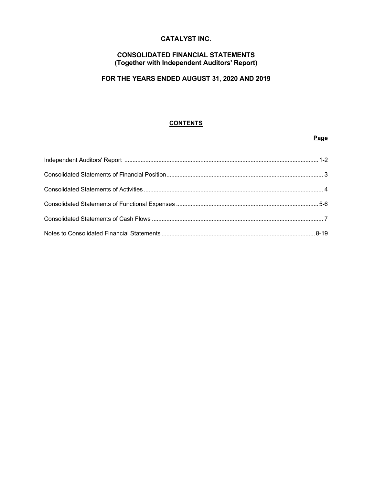## CATALYST INC.

## CONSOLIDATED FINANCIAL STATEMENTS (Together with Independent Auditors' Report)

## FOR THE YEARS ENDED AUGUST 31, 2020 AND 2019

#### **CONTENTS**

#### Page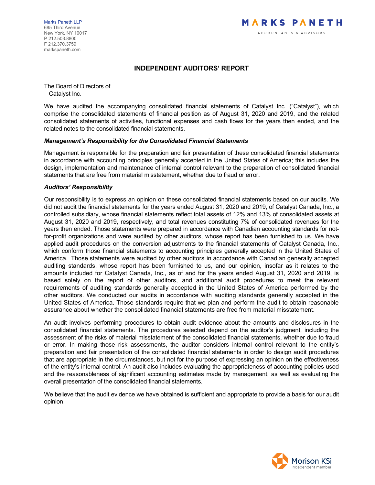Marks Paneth LLP 685 Third Avenue New York, NY 10017 P 212.503.8800 F 212.370.3759 markspaneth.com

### INDEPENDENT AUDITORS' REPORT

The Board of Directors of Catalyst Inc.

We have audited the accompanying consolidated financial statements of Catalyst Inc. ("Catalyst"), which comprise the consolidated statements of financial position as of August 31, 2020 and 2019, and the related consolidated statements of activities, functional expenses and cash flows for the years then ended, and the related notes to the consolidated financial statements.

#### Management's Responsibility for the Consolidated Financial Statements

Management is responsible for the preparation and fair presentation of these consolidated financial statements in accordance with accounting principles generally accepted in the United States of America; this includes the design, implementation and maintenance of internal control relevant to the preparation of consolidated financial statements that are free from material misstatement, whether due to fraud or error.

#### Auditors' Responsibility

Our responsibility is to express an opinion on these consolidated financial statements based on our audits. We did not audit the financial statements for the years ended August 31, 2020 and 2019, of Catalyst Canada, Inc., a controlled subsidiary, whose financial statements reflect total assets of 12% and 13% of consolidated assets at August 31, 2020 and 2019, respectively, and total revenues constituting 7% of consolidated revenues for the years then ended. Those statements were prepared in accordance with Canadian accounting standards for notfor-profit organizations and were audited by other auditors, whose report has been furnished to us. We have applied audit procedures on the conversion adjustments to the financial statements of Catalyst Canada, Inc., which conform those financial statements to accounting principles generally accepted in the United States of America. Those statements were audited by other auditors in accordance with Canadian generally accepted auditing standards, whose report has been furnished to us, and our opinion, insofar as it relates to the amounts included for Catalyst Canada, Inc., as of and for the years ended August 31, 2020 and 2019, is based solely on the report of other auditors, and additional audit procedures to meet the relevant requirements of auditing standards generally accepted in the United States of America performed by the other auditors. We conducted our audits in accordance with auditing standards generally accepted in the United States of America. Those standards require that we plan and perform the audit to obtain reasonable assurance about whether the consolidated financial statements are free from material misstatement.

An audit involves performing procedures to obtain audit evidence about the amounts and disclosures in the consolidated financial statements. The procedures selected depend on the auditor's judgment, including the assessment of the risks of material misstatement of the consolidated financial statements, whether due to fraud or error. In making those risk assessments, the auditor considers internal control relevant to the entity's preparation and fair presentation of the consolidated financial statements in order to design audit procedures that are appropriate in the circumstances, but not for the purpose of expressing an opinion on the effectiveness of the entity's internal control. An audit also includes evaluating the appropriateness of accounting policies used and the reasonableness of significant accounting estimates made by management, as well as evaluating the overall presentation of the consolidated financial statements.

We believe that the audit evidence we have obtained is sufficient and appropriate to provide a basis for our audit opinion.

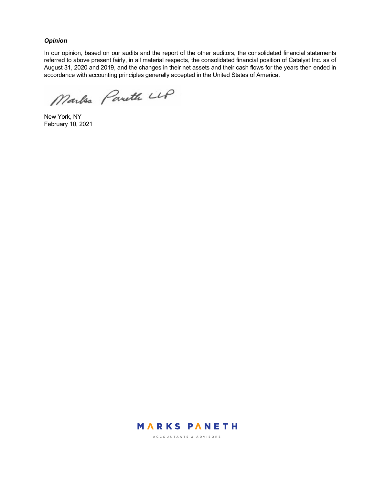#### **Opinion**

In our opinion, based on our audits and the report of the other auditors, the consolidated financial statements referred to above present fairly, in all material respects, the consolidated financial position of Catalyst Inc. as of August 31, 2020 and 2019, and the changes in their net assets and their cash flows for the years then ended in accordance with accounting principles generally accepted in the United States of America.

Marks Pareth LLP

New York, NY February 10, 2021



ACCOUNTANTS & ADVISORS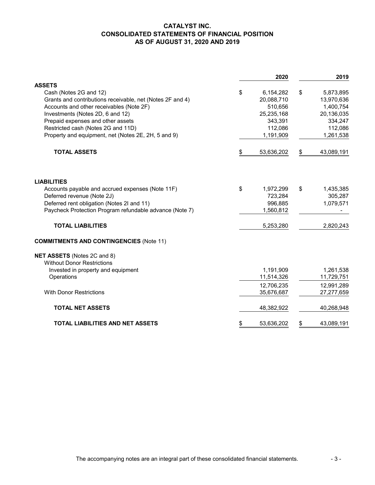## **CATALYST INC. CONSOLIDATED STATEMENTS OF FINANCIAL POSITION AS OF AUGUST 31, 2020 AND 2019**

|                                                                       | 2020                  | 2019                  |
|-----------------------------------------------------------------------|-----------------------|-----------------------|
| <b>ASSETS</b>                                                         |                       |                       |
| Cash (Notes 2G and 12)                                                | \$<br>6,154,282       | \$<br>5,873,895       |
| Grants and contributions receivable, net (Notes 2F and 4)             | 20,088,710            | 13,970,636            |
| Accounts and other receivables (Note 2F)                              | 510,656               | 1,400,754             |
| Investments (Notes 2D, 6 and 12)<br>Prepaid expenses and other assets | 25,235,168<br>343,391 | 20,136,035<br>334,247 |
| Restricted cash (Notes 2G and 11D)                                    | 112,086               | 112,086               |
| Property and equipment, net (Notes 2E, 2H, 5 and 9)                   | 1,191,909             | 1,261,538             |
|                                                                       |                       |                       |
| <b>TOTAL ASSETS</b>                                                   | \$<br>53,636,202      | \$<br>43,089,191      |
| <b>LIABILITIES</b>                                                    |                       |                       |
| Accounts payable and accrued expenses (Note 11F)                      | \$<br>1,972,299       | \$<br>1,435,385       |
| Deferred revenue (Note 2J)                                            | 723,284               | 305,287               |
| Deferred rent obligation (Notes 2I and 11)                            | 996,885               | 1,079,571             |
| Paycheck Protection Program refundable advance (Note 7)               | 1,560,812             |                       |
| <b>TOTAL LIABILITIES</b>                                              | 5,253,280             | 2,820,243             |
| <b>COMMITMENTS AND CONTINGENCIES (Note 11)</b>                        |                       |                       |
| NET ASSETS (Notes 2C and 8)                                           |                       |                       |
| <b>Without Donor Restrictions</b>                                     |                       |                       |
| Invested in property and equipment                                    | 1,191,909             | 1,261,538             |
| Operations                                                            | 11,514,326            | 11,729,751            |
|                                                                       | 12,706,235            | 12,991,289            |
| <b>With Donor Restrictions</b>                                        | 35,676,687            | 27,277,659            |
| <b>TOTAL NET ASSETS</b>                                               | 48,382,922            | 40,268,948            |
| TOTAL LIABILITIES AND NET ASSETS                                      | \$<br>53,636,202      | \$<br>43,089,191      |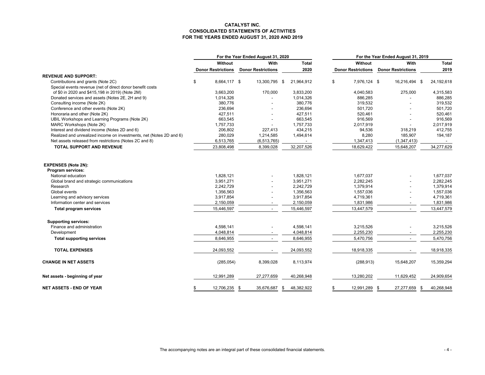#### **CATALYST INC. CONSOLIDATED STATEMENTS OF ACTIVITIES FOR THE YEARS ENDED AUGUST 31, 2020 AND 2019**

|                                                                     |                           | For the Year Ended August 31, 2020 |                   | For the Year Ended August 31, 2019 |                           |                  |  |  |  |
|---------------------------------------------------------------------|---------------------------|------------------------------------|-------------------|------------------------------------|---------------------------|------------------|--|--|--|
|                                                                     | Without                   | With                               | <b>Total</b>      | Without                            | With                      | Total            |  |  |  |
|                                                                     | <b>Donor Restrictions</b> | <b>Donor Restrictions</b>          | 2020              | <b>Donor Restrictions</b>          | <b>Donor Restrictions</b> | 2019             |  |  |  |
| <b>REVENUE AND SUPPORT:</b>                                         |                           |                                    |                   |                                    |                           |                  |  |  |  |
| Contributions and grants (Note 2C)                                  | \$<br>8,664,117 \$        | 13,300,795 \$                      | 21,964,912        | \$<br>7,976,124 \$                 | 16,216,494 \$             | 24,192,618       |  |  |  |
| Special events revenue (net of direct donor benefit costs           |                           |                                    |                   |                                    |                           |                  |  |  |  |
| of \$0 in 2020 and \$415,198 in 2019) (Note 2M)                     | 3,663,200                 | 170,000                            | 3,833,200         | 4,040,583                          | 275,000                   | 4,315,583        |  |  |  |
| Donated services and assets (Notes 2E, 2H and 9)                    | 1,014,326                 |                                    | 1,014,326         | 886,285                            |                           | 886,285          |  |  |  |
| Consulting income (Note 2K)                                         | 380,776                   |                                    | 380,776           | 319,532                            |                           | 319,532          |  |  |  |
| Conference and other events (Note 2K)                               | 236,694                   |                                    | 236,694           | 501,720                            |                           | 501,720          |  |  |  |
| Honoraria and other (Note 2K)                                       | 427,511                   |                                    | 427,511           | 520.461                            |                           | 520,461          |  |  |  |
| UBIL Workshops and Learning Programs (Note 2K)                      | 663,545                   |                                    | 663,545           | 916,569                            |                           | 916,569          |  |  |  |
| MARC Workshops (Note 2K)                                            | 1,757,733                 |                                    | 1,757,733         | 2,017,919                          |                           | 2,017,919        |  |  |  |
| Interest and dividend income (Notes 2D and 6)                       | 206,802                   | 227,413                            | 434,215           | 94,536                             | 318,219                   | 412,755          |  |  |  |
| Realized and unrealized income on investments, net (Notes 2D and 6) | 280,029                   | 1,214,585                          | 1,494,614         | 8,280                              | 185,907                   | 194,187          |  |  |  |
| Net assets released from restrictions (Notes 2C and 8)              | 6,513,765                 | (6, 513, 765)                      |                   | 1,347,413                          | (1,347,413)               |                  |  |  |  |
| <b>TOTAL SUPPORT AND REVENUE</b>                                    | 23,808,498                | 8,399,028                          | 32,207,526        | 18,629,422                         | 15,648,207                | 34,277,629       |  |  |  |
| <b>EXPENSES (Note 2N):</b>                                          |                           |                                    |                   |                                    |                           |                  |  |  |  |
| Program services:                                                   |                           |                                    |                   |                                    |                           |                  |  |  |  |
| National education                                                  | 1,828,121                 |                                    | 1,828,121         | 1,677,037                          |                           | 1,677,037        |  |  |  |
| Global brand and strategic communications                           | 3,951,271                 |                                    | 3.951.271         | 2,282,245                          |                           | 2,282,245        |  |  |  |
| Research                                                            | 2,242,729                 |                                    | 2,242,729         | 1,379,914                          |                           | 1,379,914        |  |  |  |
| Global events                                                       | 1,356,563                 |                                    | 1,356,563         | 1,557,036                          |                           | 1,557,036        |  |  |  |
| Learning and advisory services                                      | 3,917,854                 |                                    | 3,917,854         | 4,719,361                          |                           | 4,719,361        |  |  |  |
| Information center and services                                     | 2,150,059                 |                                    | 2,150,059         | 1,831,986                          |                           | 1,831,986        |  |  |  |
| <b>Total program services</b>                                       | 15,446,597                | $\overline{\phantom{a}}$           | 15,446,597        | 13,447,579                         |                           | 13,447,579       |  |  |  |
| <b>Supporting services:</b>                                         |                           |                                    |                   |                                    |                           |                  |  |  |  |
| Finance and administration                                          | 4.598.141                 |                                    | 4.598.141         | 3.215.526                          |                           | 3.215.526        |  |  |  |
| Development                                                         | 4,048,814                 |                                    | 4,048,814         | 2,255,230                          |                           | 2,255,230        |  |  |  |
| <b>Total supporting services</b>                                    | 8,646,955                 | $\sim$                             | 8,646,955         | 5,470,756                          | $\overline{\phantom{a}}$  | 5,470,756        |  |  |  |
| <b>TOTAL EXPENSES</b>                                               | 24,093,552                |                                    | 24,093,552        | 18,918,335                         |                           | 18,918,335       |  |  |  |
| <b>CHANGE IN NET ASSETS</b>                                         | (285, 054)                | 8,399,028                          | 8,113,974         | (288, 913)                         | 15,648,207                | 15,359,294       |  |  |  |
| Net assets - beginning of year                                      | 12,991,289                | 27,277,659                         | 40,268,948        | 13,280,202                         | 11,629,452                | 24,909,654       |  |  |  |
| NET ASSETS - END OF YEAR                                            | 12,706,235 \$<br>\$       | 35,676,687                         | 48,382,922<br>-\$ | \$<br>12,991,289 \$                | 27,277,659                | 40,268,948<br>\$ |  |  |  |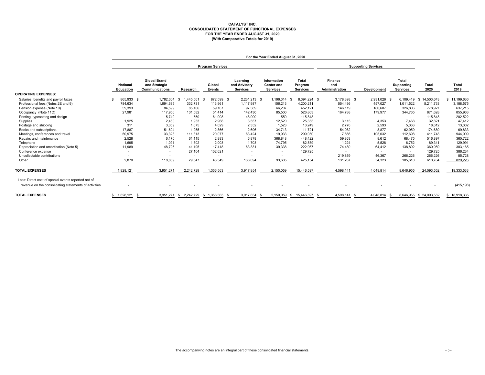#### **CATALYST INC. CONSOLIDATED STATEMENT OF FUNCTIONAL EXPENSES FOR THE YEAR ENDED AUGUST 31, 2020 (With Comparative Totals for 2019)**

|                                                                                                              | For the Year Ended August 31, 2020 |                              |                                                               |                  |      |                  |  |                                             |                            |                                                     |          |                                     |  |                                  |  |                          |  |                                        |                         |               |
|--------------------------------------------------------------------------------------------------------------|------------------------------------|------------------------------|---------------------------------------------------------------|------------------|------|------------------|--|---------------------------------------------|----------------------------|-----------------------------------------------------|----------|-------------------------------------|--|----------------------------------|--|--------------------------|--|----------------------------------------|-------------------------|---------------|
|                                                                                                              |                                    | <b>Program Services</b>      |                                                               |                  |      |                  |  |                                             | <b>Supporting Services</b> |                                                     |          |                                     |  |                                  |  |                          |  |                                        |                         |               |
|                                                                                                              |                                    | <b>National</b><br>Education | <b>Global Brand</b><br>and Strategic<br><b>Communications</b> | Research         |      | Global<br>Events |  | Learning<br>and Advisory<br><b>Services</b> |                            | Information<br><b>Center and</b><br><b>Services</b> |          | Total<br>Program<br><b>Services</b> |  | Finance<br>and<br>Administration |  | <b>Development</b>       |  | Total<br>Supporting<br><b>Services</b> | Total<br>2020           | Total<br>2019 |
| <b>OPERATING EXPENSES:</b>                                                                                   |                                    |                              |                                                               |                  |      |                  |  |                                             |                            |                                                     |          |                                     |  |                                  |  |                          |  |                                        |                         |               |
| Salaries, benefits and payroll taxes                                                                         |                                    | 865,933 \$                   | 1.782.604                                                     | ,445,561<br>- \$ | - \$ | 872,599 \$       |  | 2,231,213 \$                                |                            | 1,196,314                                           | <b>S</b> | 8,394,224 \$                        |  | 3,178,393 \$                     |  | 2,931,026 \$             |  | 6,109,419                              | \$14,503,643            | \$11,199,636  |
| Professional fees (Notes 2E and 9)                                                                           |                                    | 784,634                      | 1,694,685                                                     | 332,731          |      | 113,961          |  | 1,117,987                                   |                            | 156,213                                             |          | 4,200,211                           |  | 554,495                          |  | 457,027                  |  | 1,011,522                              | 5.211.733               | 3,188,575     |
| Pension expense (Note 10)                                                                                    |                                    | 59,393                       | 84.599                                                        | 85.166           |      | 59,167           |  | 97.589                                      |                            | 66.207                                              |          | 452,121                             |  | 146.119                          |  | 180.687                  |  | 326,806                                | 778.927                 | 637,215       |
| Occupancy (Note 11C)                                                                                         |                                    | 27,981                       | 117,956                                                       | 101,582          |      | 51.414           |  | 142.430                                     |                            | 85,500                                              |          | 526,863                             |  | 164,788                          |  | 179,977                  |  | 344,765                                | 871.628                 | 855,963       |
| Printing, typesetting and design                                                                             |                                    |                              | 5.740                                                         | 550              |      | 61,008           |  | 48,000                                      |                            | 550                                                 |          | 115,848                             |  |                                  |  |                          |  | $\sim$                                 | 115,848                 | 202,522       |
| Supplies                                                                                                     |                                    | 1,925                        | 2,450                                                         | 1.933            |      | 2,968            |  | 3,557                                       |                            | 12,520                                              |          | 25,353                              |  | 3,115                            |  | 4,353                    |  | 7.468                                  | 32.821                  | 47,412        |
| Postage and shipping                                                                                         |                                    | 311                          | 3.359                                                         | 1.675            |      | 4.029            |  | 2,352                                       |                            | 1.523                                               |          | 13.249                              |  | 2.770                            |  | 2,593                    |  | 5.363                                  | 18.612                  | 13,302        |
| Books and subscriptions                                                                                      |                                    | 17.887                       | 51,604                                                        | 1.955            |      | 2.866            |  | 2,696                                       |                            | 34.713                                              |          | 111.721                             |  | 54,082                           |  | 8.877                    |  | 62.959                                 | 174.680                 | 69,833        |
| Meetings, conferences and travel                                                                             |                                    | 50,975                       | 33,328                                                        | 111,313          |      | 20,077           |  | 63,424                                      |                            | 19,933                                              |          | 299,050                             |  | 7,666                            |  | 105,032                  |  | 112,698                                | 411.748                 | 944,009       |
| Repairs and maintenance                                                                                      |                                    | 2,528                        | 6,170                                                         | 61,115           |      | 2,883            |  | 6,878                                       |                            | 368,848                                             |          | 448,422                             |  | 59,863                           |  | 8,612                    |  | 68,475                                 | 516.897                 | 360,722       |
| Telephone                                                                                                    |                                    | 1.695                        | 1.091                                                         | 1.302            |      | 2.003            |  | 1.703                                       |                            | 74.795                                              |          | 82,589                              |  | 1.224                            |  | 5,528                    |  | 6.752                                  | 89.341                  | 129.991       |
| Depreciation and amortization (Note 5)                                                                       |                                    | 11,989                       | 48,796                                                        | 41.195           |      | 17.418           |  | 63,331                                      |                            | 39,338                                              |          | 222,067                             |  | 74,480                           |  | 64.412                   |  | 138,892                                | 360.959                 | 383,165       |
| Conference expense                                                                                           |                                    |                              | $\overline{\phantom{a}}$                                      | 27,104           |      | 102,621          |  | $\overline{\phantom{a}}$                    |                            | $\overline{\phantom{a}}$                            |          | 129,725                             |  |                                  |  | $\overline{\phantom{a}}$ |  | $\sim$                                 | 129.725                 | 386,234       |
| Uncollectable contributions                                                                                  |                                    |                              |                                                               | $\sim$           |      | $\sim$           |  |                                             |                            | $\overline{\phantom{a}}$                            |          |                                     |  | 219,859                          |  | 46,367                   |  | 266,226                                | 266,226                 | 85,728        |
| Other                                                                                                        |                                    | 2,870                        | 118,889                                                       | 29,547           |      | 43,549           |  | 136.694                                     |                            | 93,605                                              |          | 425,154                             |  | 131,287                          |  | 54,323                   |  | 185,610                                | 610,764                 | 829,226       |
| <b>TOTAL EXPENSES</b>                                                                                        |                                    | .828,121                     | 3,951,271                                                     | 2.242.729        |      | 1,356,563        |  | 3.917.854                                   |                            | 2.150.059                                           |          | 15.446.597                          |  | 4,598,141                        |  | 4,048,814                |  | 8.646.955                              | 24,093,552              | 19,333,533    |
| Less: Direct cost of special events reported net of<br>revenue on the consolidating statements of activities |                                    |                              |                                                               |                  |      |                  |  |                                             |                            |                                                     |          |                                     |  |                                  |  |                          |  |                                        |                         | (415, 198)    |
| <b>TOTAL EXPENSES</b>                                                                                        | $$^{\circ}$ 1                      | 1,828,121                    | 3,951,271<br>- \$                                             | \$2,242,729      |      | \$1,356,563      |  | 3,917,854                                   | - \$                       | 2,150,059                                           |          | $$15,446,597$ \$                    |  | 4,598,141 \$                     |  | 4,048,814                |  |                                        | 8,646,955 \$ 24,093,552 | \$18,918,335  |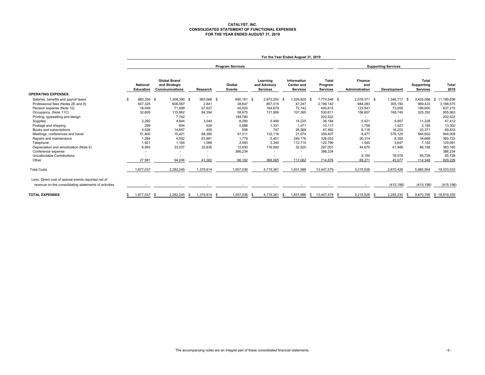#### **CATALYST, INC. CONSOLIDATED STATEMENT OF FUNCTIONAL EXPENSES FOR THE YEAR ENDED AUGUST 31, 2019**

|                                                                                                              |                              | For the Year Ended August 31, 2019 |                                                        |  |              |  |                  |  |                                             |      |                                                     |                                     |                                         |                          |      |                                        |                         |
|--------------------------------------------------------------------------------------------------------------|------------------------------|------------------------------------|--------------------------------------------------------|--|--------------|--|------------------|--|---------------------------------------------|------|-----------------------------------------------------|-------------------------------------|-----------------------------------------|--------------------------|------|----------------------------------------|-------------------------|
|                                                                                                              |                              | <b>Program Services</b>            |                                                        |  |              |  |                  |  | <b>Supporting Services</b>                  |      |                                                     |                                     |                                         |                          |      |                                        |                         |
|                                                                                                              | <b>National</b><br>Education |                                    | <b>Global Brand</b><br>and Strategic<br>Communications |  | Research     |  | Global<br>Events |  | Learning<br>and Advisory<br><b>Services</b> |      | Information<br><b>Center and</b><br><b>Services</b> | Total<br>Program<br><b>Services</b> | <b>Finance</b><br>and<br>Administration | Development              |      | Total<br>Supporting<br><b>Services</b> | Total<br>2019           |
| <b>OPERATING EXPENSES:</b>                                                                                   |                              |                                    |                                                        |  |              |  |                  |  |                                             |      |                                                     |                                     |                                         |                          |      |                                        |                         |
| Salaries, benefits and payroll taxes                                                                         | 880,359 \$                   |                                    | 1,308,390 \$                                           |  | 993,568 \$   |  | 690,161 \$       |  | 2,872,250 \$                                |      | ,029,820<br>- \$                                    | 7,774,548 \$                        | 2,078,371 \$                            | 1,346,717 \$             |      | 3,425,088                              | 11,199,636<br>-96       |
| Professional fees (Notes 2E and 9)                                                                           | 647,325                      |                                    | 606,067                                                |  | 2.841        |  | 38,647           |  | 857.015                                     |      | 47.247                                              | 2,199,142                           | 684.283                                 | 305,150                  |      | 989.433                                | 3,188,575               |
| Pension expense (Note 10)                                                                                    | 18,048                       |                                    | 71,699                                                 |  | 67,627       |  | 45,820           |  | 164,679                                     |      | 72,742                                              | 440,615                             | 123,541                                 | 73,059                   |      | 196,600                                | 637,215                 |
| Occupancy (Note 11C)                                                                                         | 32,609                       |                                    | 115,662                                                |  | 84,394       |  | 58,675           |  | 131,906                                     |      | 107,365                                             | 530,611                             | 156,607                                 | 168,745                  |      | 325.352                                | 855,963                 |
| Printing, typesetting and design                                                                             |                              |                                    | 7.742                                                  |  |              |  | 194,780          |  | $\sim$                                      |      |                                                     | 202,522                             |                                         |                          |      | $\sim$                                 | 202,522                 |
| Supplies                                                                                                     | 2,292                        |                                    | 4,844                                                  |  | 3,044        |  | 6,280            |  | 5,499                                       |      | 14,225                                              | 36,184                              | 5,421                                   | 5,807                    |      | 11.228                                 | 47,412                  |
| Postage and shipping                                                                                         | 299                          |                                    | 804                                                    |  | 526          |  | 5,686            |  | 1,331                                       |      | 1.471                                               | 10,117                              | 1,758                                   | 1.427                    |      | 3,185                                  | 13,302                  |
| Books and subscriptions                                                                                      | 4,526                        |                                    | 14,657                                                 |  | 405          |  | 558              |  | 747                                         |      | 26,569                                              | 47,462                              | 6,118                                   | 16,253                   |      | 22,371                                 | 69,833                  |
| Meetings, conferences and travel                                                                             | 51,400                       |                                    | 19,421                                                 |  | 88,385       |  | 47,011           |  | 132,116                                     |      | 21,074                                              | 359,407                             | 8,477                                   | 576,125                  |      | 584,602                                | 944,009                 |
| Repairs and maintenance                                                                                      | 1.284                        |                                    | 4.552                                                  |  | 63,861       |  | 1.779            |  | 5.401                                       |      | 249.176                                             | 326,053                             | 26.314                                  | 8.355                    |      | 34,669                                 | 360,722                 |
| Telephone                                                                                                    | 1,921                        |                                    | 1,164                                                  |  | 1,066        |  | 2,593            |  | 3.340                                       |      | 112,715                                             | 122,799                             | 1,545                                   | 5,647                    |      | 7,192                                  | 129,991                 |
| Depreciation and amortization (Note 5)                                                                       | 8,993                        |                                    | 33,037                                                 |  | 32,835       |  | 12,630           |  | 176,992                                     |      | 32,520                                              | 297,007                             | 44,670                                  | 41,488                   |      | 86,158                                 | 383,165                 |
| Conference expense                                                                                           | ٠                            |                                    | ٠                                                      |  |              |  | 386,234          |  | $\blacksquare$                              |      | $\blacksquare$                                      | 386,234                             |                                         | $\overline{\phantom{a}}$ |      | $\sim$                                 | 386,234                 |
| Uncollectable Contributions                                                                                  |                              |                                    |                                                        |  |              |  |                  |  |                                             |      |                                                     |                                     | 9,150                                   | 76,578                   |      | 85,728                                 | 85,728                  |
| Other                                                                                                        | 27,981                       |                                    | 94,206                                                 |  | 41,362       |  | 66.182           |  | 368.085                                     |      | 117.062                                             | 714,878                             | 69.271                                  | 45.077                   |      | 114.348                                | 829,226                 |
| <b>Total Costs</b>                                                                                           | 1,677,037                    |                                    | 2,282,245                                              |  | 1,379,914    |  | 1,557,036        |  | 4,719,361                                   |      | 1,831,986                                           | 13,447,579                          | 3,215,526                               | 2,670,428                |      | 5,885,954                              | 19,333,533              |
| Less: Direct cost of special events reported net of<br>revenue on the consolidating statements of activities |                              |                                    |                                                        |  |              |  |                  |  |                                             |      |                                                     |                                     |                                         | (415, 198)               |      | (415, 198)                             | (415, 198)              |
| <b>TOTAL EXPENSES</b>                                                                                        | 1.677.037 \$                 |                                    | 2,282,245 \$                                           |  | 1,379,914 \$ |  | 1.557.036 \$     |  | 4.719.361                                   | - \$ | 1.831.986<br>- \$                                   | 13.447.579 \$                       | 3.215.526 \$                            | 2.255.230                | - 96 |                                        | 5.470.756 \$ 18.918.335 |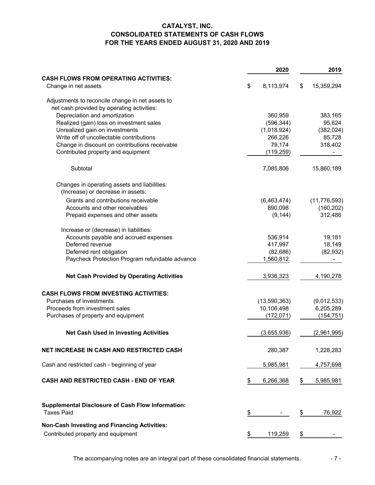## **CATALYST, INC. CONSOLIDATED STATEMENTS OF CASH FLOWS FOR THE YEARS ENDED AUGUST 31, 2020 AND 2019**

|                                                                               | 2020                 | 2019             |
|-------------------------------------------------------------------------------|----------------------|------------------|
| <b>CASH FLOWS FROM OPERATING ACTIVITIES:</b>                                  |                      |                  |
| Change in net assets                                                          | \$<br>8,113,974      | \$<br>15,359,294 |
| Adjustments to reconcile change in net assets to                              |                      |                  |
| net cash provided by operating activities:                                    |                      |                  |
| Depreciation and amortization                                                 | 360,959              | 383,165          |
| Realized (gain) loss on investment sales                                      | (596, 344)           | 95,624           |
| Unrealized gain on investments                                                | (1,018,924)          | (382, 024)       |
| Write off of uncollectable contributions                                      | 266,226              | 85,728           |
| Change in discount on contributions receivable                                | 79,174               | 318,402          |
| Contributed property and equipment                                            | (119, 259)           |                  |
| Subtotal                                                                      | 7,085,806            | 15,860,189       |
| Changes in operating assets and liabilities:                                  |                      |                  |
| (Increase) or decrease in assets:                                             |                      |                  |
| Grants and contributions receivable                                           | (6,463,474)          | (11, 776, 593)   |
| Accounts and other receivables                                                | 890,098              | (160, 202)       |
| Prepaid expenses and other assets                                             | (9, 144)             | 312,486          |
| Increase or (decrease) in liabilities:                                        |                      |                  |
| Accounts payable and accrued expenses                                         | 536,914              | 19,181           |
| Deferred revenue                                                              | 417,997              | 18,149           |
| Deferred rent obligation                                                      | (82, 686)            | (82, 932)        |
| Paycheck Protection Program refundable advance                                | 1,560,812            |                  |
| <b>Net Cash Provided by Operating Activities</b>                              | 3,936,323            | 4,190,278        |
| <b>CASH FLOWS FROM INVESTING ACTIVITIES:</b>                                  |                      |                  |
| Purchases of investments                                                      | (13,590,363)         | (9,012,533)      |
| Proceeds from investment sales                                                | 10,106,498           | 6,205,289        |
| Purchases of property and equipment                                           | (172, 071)           | (154, 751)       |
| <b>Net Cash Used in Investing Activities</b>                                  | (3,655,936)          | (2,961,995)      |
| NET INCREASE IN CASH AND RESTRICTED CASH                                      | 280,387              | 1,228,283        |
| Cash and restricted cash - beginning of year                                  | 5,985,981            | 4,757,698        |
| CASH AND RESTRICTED CASH - END OF YEAR                                        | \$<br>6,266,368      | \$<br>5,985,981  |
| <b>Supplemental Disclosure of Cash Flow Information:</b><br><b>Taxes Paid</b> | \$                   | \$<br>76,922     |
| <b>Non-Cash Investing and Financing Activities:</b>                           |                      |                  |
| Contributed property and equipment                                            |                      |                  |
|                                                                               | \$<br><u>119,259</u> | \$               |

The accompanying notes are an integral part of these consolidated financial statements.  $\overline{\phantom{a}}$  - 7 -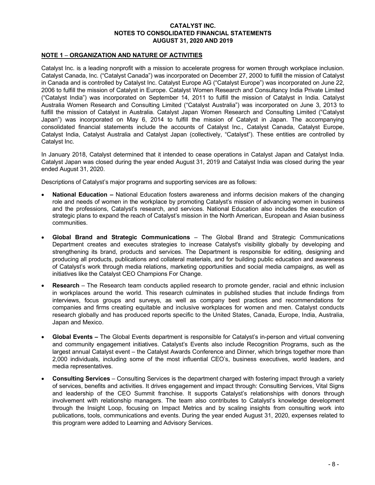#### NOTE 1 – ORGANIZATION AND NATURE OF ACTIVITIES

Catalyst Inc. is a leading nonprofit with a mission to accelerate progress for women through workplace inclusion. Catalyst Canada, Inc. ("Catalyst Canada") was incorporated on December 27, 2000 to fulfill the mission of Catalyst in Canada and is controlled by Catalyst Inc. Catalyst Europe AG ("Catalyst Europe") was incorporated on June 22, 2006 to fulfill the mission of Catalyst in Europe. Catalyst Women Research and Consultancy India Private Limited ("Catalyst India") was incorporated on September 14, 2011 to fulfill the mission of Catalyst in India. Catalyst Australia Women Research and Consulting Limited ("Catalyst Australia") was incorporated on June 3, 2013 to fulfill the mission of Catalyst in Australia. Catalyst Japan Women Research and Consulting Limited ("Catalyst Japan") was incorporated on May 6, 2014 to fulfill the mission of Catalyst in Japan. The accompanying consolidated financial statements include the accounts of Catalyst Inc., Catalyst Canada, Catalyst Europe, Catalyst India, Catalyst Australia and Catalyst Japan (collectively, "Catalyst"). These entities are controlled by Catalyst Inc.

In January 2018, Catalyst determined that it intended to cease operations in Catalyst Japan and Catalyst India. Catalyst Japan was closed during the year ended August 31, 2019 and Catalyst India was closed during the year ended August 31, 2020.

Descriptions of Catalyst's major programs and supporting services are as follows:

- National Education National Education fosters awareness and informs decision makers of the changing role and needs of women in the workplace by promoting Catalyst's mission of advancing women in business and the professions, Catalyst's research, and services. National Education also includes the execution of strategic plans to expand the reach of Catalyst's mission in the North American, European and Asian business communities.
- Global Brand and Strategic Communications The Global Brand and Strategic Communications Department creates and executes strategies to increase Catalyst's visibility globally by developing and strengthening its brand, products and services. The Department is responsible for editing, designing and producing all products, publications and collateral materials, and for building public education and awareness of Catalyst's work through media relations, marketing opportunities and social media campaigns, as well as initiatives like the Catalyst CEO Champions For Change.
- Research The Research team conducts applied research to promote gender, racial and ethnic inclusion in workplaces around the world. This research culminates in published studies that include findings from interviews, focus groups and surveys, as well as company best practices and recommendations for companies and firms creating equitable and inclusive workplaces for women and men. Catalyst conducts research globally and has produced reports specific to the United States, Canada, Europe, India, Australia, Japan and Mexico.
- Global Events The Global Events department is responsible for Catalyst's in-person and virtual convening and community engagement initiatives. Catalyst's Events also include Recognition Programs, such as the largest annual Catalyst event – the Catalyst Awards Conference and Dinner, which brings together more than 2,000 individuals, including some of the most influential CEO's, business executives, world leaders, and media representatives.
- Consulting Services Consulting Services is the department charged with fostering impact through a variety of services, benefits and activities. It drives engagement and impact through: Consulting Services, Vital Signs and leadership of the CEO Summit franchise. It supports Catalyst's relationships with donors through involvement with relationship managers. The team also contributes to Catalyst's knowledge development through the Insight Loop, focusing on Impact Metrics and by scaling insights from consulting work into publications, tools, communications and events. During the year ended August 31, 2020, expenses related to this program were added to Learning and Advisory Services.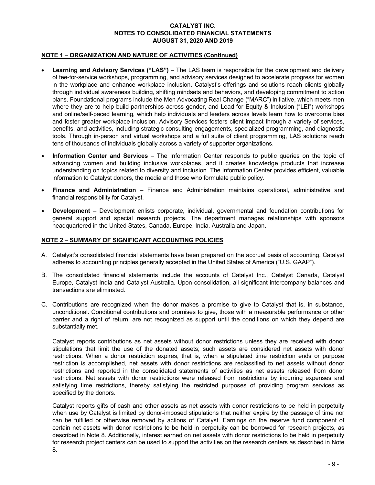#### NOTE 1 – ORGANIZATION AND NATURE OF ACTIVITIES (Continued)

- Learning and Advisory Services ("LAS") The LAS team is responsible for the development and delivery of fee-for-service workshops, programming, and advisory services designed to accelerate progress for women in the workplace and enhance workplace inclusion. Catalyst's offerings and solutions reach clients globally through individual awareness building, shifting mindsets and behaviors, and developing commitment to action plans. Foundational programs include the Men Advocating Real Change ("MARC") initiative, which meets men where they are to help build partnerships across gender, and Lead for Equity & Inclusion ("LEI") workshops and online/self-paced learning, which help individuals and leaders across levels learn how to overcome bias and foster greater workplace inclusion. Advisory Services fosters client impact through a variety of services, benefits, and activities, including strategic consulting engagements, specialized programming, and diagnostic tools. Through in-person and virtual workshops and a full suite of client programming, LAS solutions reach tens of thousands of individuals globally across a variety of supporter organizations.
- Information Center and Services The Information Center responds to public queries on the topic of advancing women and building inclusive workplaces, and it creates knowledge products that increase understanding on topics related to diversity and inclusion. The Information Center provides efficient, valuable information to Catalyst donors, the media and those who formulate public policy.
- Finance and Administration Finance and Administration maintains operational, administrative and financial responsibility for Catalyst.
- Development Development enlists corporate, individual, governmental and foundation contributions for general support and special research projects. The department manages relationships with sponsors headquartered in the United States, Canada, Europe, India, Australia and Japan.

#### NOTE 2 – SUMMARY OF SIGNIFICANT ACCOUNTING POLICIES

- A. Catalyst's consolidated financial statements have been prepared on the accrual basis of accounting. Catalyst adheres to accounting principles generally accepted in the United States of America ("U.S. GAAP").
- B. The consolidated financial statements include the accounts of Catalyst Inc., Catalyst Canada, Catalyst Europe, Catalyst India and Catalyst Australia. Upon consolidation, all significant intercompany balances and transactions are eliminated.
- C. Contributions are recognized when the donor makes a promise to give to Catalyst that is, in substance, unconditional. Conditional contributions and promises to give, those with a measurable performance or other barrier and a right of return, are not recognized as support until the conditions on which they depend are substantially met.

Catalyst reports contributions as net assets without donor restrictions unless they are received with donor stipulations that limit the use of the donated assets; such assets are considered net assets with donor restrictions. When a donor restriction expires, that is, when a stipulated time restriction ends or purpose restriction is accomplished, net assets with donor restrictions are reclassified to net assets without donor restrictions and reported in the consolidated statements of activities as net assets released from donor restrictions. Net assets with donor restrictions were released from restrictions by incurring expenses and satisfying time restrictions, thereby satisfying the restricted purposes of providing program services as specified by the donors.

Catalyst reports gifts of cash and other assets as net assets with donor restrictions to be held in perpetuity when use by Catalyst is limited by donor-imposed stipulations that neither expire by the passage of time nor can be fulfilled or otherwise removed by actions of Catalyst. Earnings on the reserve fund component of certain net assets with donor restrictions to be held in perpetuity can be borrowed for research projects, as described in Note 8. Additionally, interest earned on net assets with donor restrictions to be held in perpetuity for research project centers can be used to support the activities on the research centers as described in Note 8.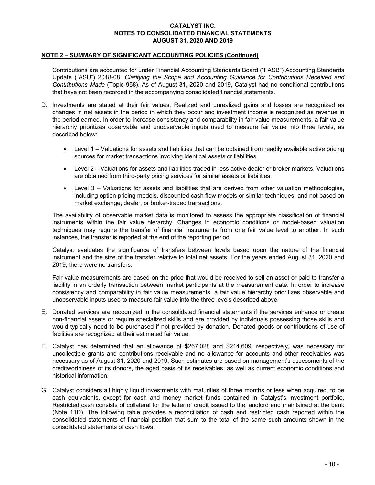#### NOTE 2 – SUMMARY OF SIGNIFICANT ACCOUNTING POLICIES (Continued)

Contributions are accounted for under Financial Accounting Standards Board ("FASB") Accounting Standards Update ("ASU") 2018-08, Clarifying the Scope and Accounting Guidance for Contributions Received and Contributions Made (Topic 958). As of August 31, 2020 and 2019, Catalyst had no conditional contributions that have not been recorded in the accompanying consolidated financial statements.

- D. Investments are stated at their fair values. Realized and unrealized gains and losses are recognized as changes in net assets in the period in which they occur and investment income is recognized as revenue in the period earned. In order to increase consistency and comparability in fair value measurements, a fair value hierarchy prioritizes observable and unobservable inputs used to measure fair value into three levels, as described below:
	- Level 1 Valuations for assets and liabilities that can be obtained from readily available active pricing sources for market transactions involving identical assets or liabilities.
	- Level 2 Valuations for assets and liabilities traded in less active dealer or broker markets. Valuations are obtained from third-party pricing services for similar assets or liabilities.
	- Level 3 Valuations for assets and liabilities that are derived from other valuation methodologies, including option pricing models, discounted cash flow models or similar techniques, and not based on market exchange, dealer, or broker-traded transactions.

The availability of observable market data is monitored to assess the appropriate classification of financial instruments within the fair value hierarchy. Changes in economic conditions or model-based valuation techniques may require the transfer of financial instruments from one fair value level to another. In such instances, the transfer is reported at the end of the reporting period.

Catalyst evaluates the significance of transfers between levels based upon the nature of the financial instrument and the size of the transfer relative to total net assets. For the years ended August 31, 2020 and 2019, there were no transfers.

Fair value measurements are based on the price that would be received to sell an asset or paid to transfer a liability in an orderly transaction between market participants at the measurement date. In order to increase consistency and comparability in fair value measurements, a fair value hierarchy prioritizes observable and unobservable inputs used to measure fair value into the three levels described above.

- E. Donated services are recognized in the consolidated financial statements if the services enhance or create non-financial assets or require specialized skills and are provided by individuals possessing those skills and would typically need to be purchased if not provided by donation. Donated goods or contributions of use of facilities are recognized at their estimated fair value.
- F. Catalyst has determined that an allowance of \$267,028 and \$214,609, respectively, was necessary for uncollectible grants and contributions receivable and no allowance for accounts and other receivables was necessary as of August 31, 2020 and 2019. Such estimates are based on management's assessments of the creditworthiness of its donors, the aged basis of its receivables, as well as current economic conditions and historical information.
- G. Catalyst considers all highly liquid investments with maturities of three months or less when acquired, to be cash equivalents, except for cash and money market funds contained in Catalyst's investment portfolio. Restricted cash consists of collateral for the letter of credit issued to the landlord and maintained at the bank (Note 11D). The following table provides a reconciliation of cash and restricted cash reported within the consolidated statements of financial position that sum to the total of the same such amounts shown in the consolidated statements of cash flows.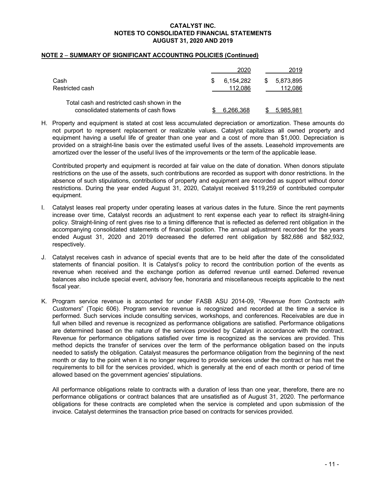#### NOTE 2 – SUMMARY OF SIGNIFICANT ACCOUNTING POLICIES (Continued)

|                                                                                      | 2020                 | 2019                    |
|--------------------------------------------------------------------------------------|----------------------|-------------------------|
| Cash<br>Restricted cash                                                              | 6,154,282<br>112.086 | \$ 5,873,895<br>112.086 |
| Total cash and restricted cash shown in the<br>consolidated statements of cash flows | 6,266,368            | 5,985,981               |

H. Property and equipment is stated at cost less accumulated depreciation or amortization. These amounts do not purport to represent replacement or realizable values. Catalyst capitalizes all owned property and equipment having a useful life of greater than one year and a cost of more than \$1,000. Depreciation is provided on a straight-line basis over the estimated useful lives of the assets. Leasehold improvements are amortized over the lesser of the useful lives of the improvements or the term of the applicable lease.

Contributed property and equipment is recorded at fair value on the date of donation. When donors stipulate restrictions on the use of the assets, such contributions are recorded as support with donor restrictions. In the absence of such stipulations, contributions of property and equipment are recorded as support without donor restrictions. During the year ended August 31, 2020, Catalyst received \$119,259 of contributed computer equipment.

- I. Catalyst leases real property under operating leases at various dates in the future. Since the rent payments increase over time, Catalyst records an adjustment to rent expense each year to reflect its straight-lining policy. Straight-lining of rent gives rise to a timing difference that is reflected as deferred rent obligation in the accompanying consolidated statements of financial position. The annual adjustment recorded for the years ended August 31, 2020 and 2019 decreased the deferred rent obligation by \$82,686 and \$82,932, respectively.
- J. Catalyst receives cash in advance of special events that are to be held after the date of the consolidated statements of financial position. It is Catalyst's policy to record the contribution portion of the events as revenue when received and the exchange portion as deferred revenue until earned. Deferred revenue balances also include special event, advisory fee, honoraria and miscellaneous receipts applicable to the next fiscal year.
- K. Program service revenue is accounted for under FASB ASU 2014-09, "Revenue from Contracts with Customers" (Topic 606). Program service revenue is recognized and recorded at the time a service is performed. Such services include consulting services, workshops, and conferences. Receivables are due in full when billed and revenue is recognized as performance obligations are satisfied. Performance obligations are determined based on the nature of the services provided by Catalyst in accordance with the contract. Revenue for performance obligations satisfied over time is recognized as the services are provided. This method depicts the transfer of services over the term of the performance obligation based on the inputs needed to satisfy the obligation. Catalyst measures the performance obligation from the beginning of the next month or day to the point when it is no longer required to provide services under the contract or has met the requirements to bill for the services provided, which is generally at the end of each month or period of time allowed based on the government agencies' stipulations.

All performance obligations relate to contracts with a duration of less than one year, therefore, there are no performance obligations or contract balances that are unsatisfied as of August 31, 2020. The performance obligations for these contracts are completed when the service is completed and upon submission of the invoice. Catalyst determines the transaction price based on contracts for services provided.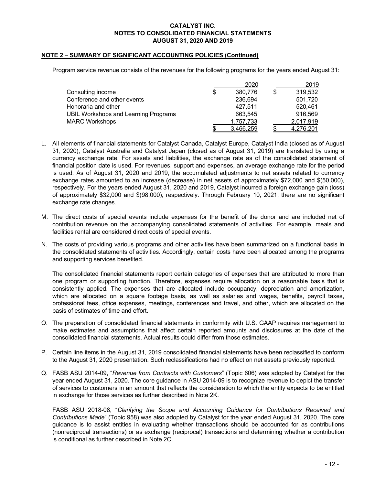#### NOTE 2 – SUMMARY OF SIGNIFICANT ACCOUNTING POLICIES (Continued)

Program service revenue consists of the revenues for the following programs for the years ended August 31:

|                                             |   | 2020      | 2019      |
|---------------------------------------------|---|-----------|-----------|
| Consulting income                           | S | 380.776   | 319.532   |
| Conference and other events                 |   | 236,694   | 501,720   |
| Honoraria and other                         |   | 427.511   | 520,461   |
| <b>UBIL Workshops and Learning Programs</b> |   | 663.545   | 916.569   |
| <b>MARC Workshops</b>                       |   | 1,757,733 | 2,017,919 |
|                                             |   | 3,466,259 | 4,276,201 |

- L. All elements of financial statements for Catalyst Canada, Catalyst Europe, Catalyst India (closed as of August 31, 2020), Catalyst Australia and Catalyst Japan (closed as of August 31, 2019) are translated by using a currency exchange rate. For assets and liabilities, the exchange rate as of the consolidated statement of financial position date is used. For revenues, support and expenses, an average exchange rate for the period is used. As of August 31, 2020 and 2019, the accumulated adjustments to net assets related to currency exchange rates amounted to an increase (decrease) in net assets of approximately \$72,000 and \$(50,000), respectively. For the years ended August 31, 2020 and 2019, Catalyst incurred a foreign exchange gain (loss) of approximately \$32,000 and \$(98,000), respectively. Through February 10, 2021, there are no significant exchange rate changes.
- M. The direct costs of special events include expenses for the benefit of the donor and are included net of contribution revenue on the accompanying consolidated statements of activities. For example, meals and facilities rental are considered direct costs of special events.
- N. The costs of providing various programs and other activities have been summarized on a functional basis in the consolidated statements of activities. Accordingly, certain costs have been allocated among the programs and supporting services benefited.

The consolidated financial statements report certain categories of expenses that are attributed to more than one program or supporting function. Therefore, expenses require allocation on a reasonable basis that is consistently applied. The expenses that are allocated include occupancy, depreciation and amortization, which are allocated on a square footage basis, as well as salaries and wages, benefits, payroll taxes, professional fees, office expenses, meetings, conferences and travel, and other, which are allocated on the basis of estimates of time and effort.

- O. The preparation of consolidated financial statements in conformity with U.S. GAAP requires management to make estimates and assumptions that affect certain reported amounts and disclosures at the date of the consolidated financial statements. Actual results could differ from those estimates.
- P. Certain line items in the August 31, 2019 consolidated financial statements have been reclassified to conform to the August 31, 2020 presentation. Such reclassifications had no effect on net assets previously reported.
- Q. FASB ASU 2014-09, "Revenue from Contracts with Customers" (Topic 606) was adopted by Catalyst for the year ended August 31, 2020. The core guidance in ASU 2014-09 is to recognize revenue to depict the transfer of services to customers in an amount that reflects the consideration to which the entity expects to be entitled in exchange for those services as further described in Note 2K.

FASB ASU 2018-08, "Clarifying the Scope and Accounting Guidance for Contributions Received and Contributions Made" (Topic 958) was also adopted by Catalyst for the year ended August 31, 2020. The core guidance is to assist entities in evaluating whether transactions should be accounted for as contributions (nonreciprocal transactions) or as exchange (reciprocal) transactions and determining whether a contribution is conditional as further described in Note 2C.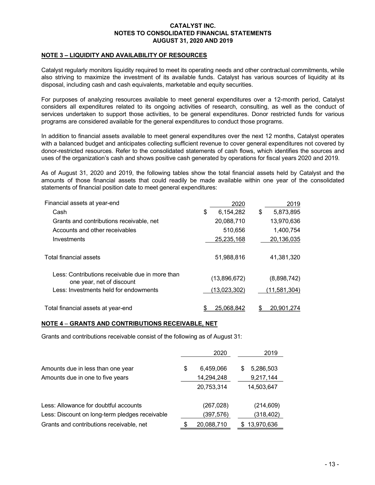#### NOTE 3 – LIQUIDITY AND AVAILABILITY OF RESOURCES

Catalyst regularly monitors liquidity required to meet its operating needs and other contractual commitments, while also striving to maximize the investment of its available funds. Catalyst has various sources of liquidity at its disposal, including cash and cash equivalents, marketable and equity securities.

For purposes of analyzing resources available to meet general expenditures over a 12-month period, Catalyst considers all expenditures related to its ongoing activities of research, consulting, as well as the conduct of services undertaken to support those activities, to be general expenditures. Donor restricted funds for various programs are considered available for the general expenditures to conduct those programs.

In addition to financial assets available to meet general expenditures over the next 12 months, Catalyst operates with a balanced budget and anticipates collecting sufficient revenue to cover general expenditures not covered by donor-restricted resources. Refer to the consolidated statements of cash flows, which identifies the sources and uses of the organization's cash and shows positive cash generated by operations for fiscal years 2020 and 2019.

As of August 31, 2020 and 2019, the following tables show the total financial assets held by Catalyst and the amounts of those financial assets that could readily be made available within one year of the consolidated statements of financial position date to meet general expenditures:

| Financial assets at year-end                                                 | 2020             | 2019             |
|------------------------------------------------------------------------------|------------------|------------------|
| Cash                                                                         | \$<br>6,154,282  | \$<br>5,873,895  |
| Grants and contributions receivable, net                                     | 20,088,710       | 13,970,636       |
| Accounts and other receivables                                               | 510,656          | 1,400,754        |
| Investments                                                                  | 25,235,168       | 20,136,035       |
| Total financial assets                                                       | 51,988,816       | 41,381,320       |
| Less: Contributions receivable due in more than<br>one year, net of discount | (13,896,672)     | (8,898,742)      |
| Less: Investments held for endowments                                        | (13,023,302)     | (11,581,304)     |
| Total financial assets at year-end                                           | \$<br>25.068.842 | \$<br>20.901.274 |

#### NOTE 4 – GRANTS AND CONTRIBUTIONS RECEIVABLE, NET

Grants and contributions receivable consist of the following as of August 31:

|                                                | 2020             | 2019            |
|------------------------------------------------|------------------|-----------------|
| Amounts due in less than one year              | \$<br>6,459,066  | 5,286,503<br>\$ |
| Amounts due in one to five years               | 14,294,248       | 9,217,144       |
|                                                | 20,753,314       | 14,503,647      |
| Less: Allowance for doubtful accounts          | (267, 028)       | (214,609)       |
| Less: Discount on long-term pledges receivable | (397, 576)       | (318,402)       |
| Grants and contributions receivable, net       | \$<br>20,088,710 | 13,970,636      |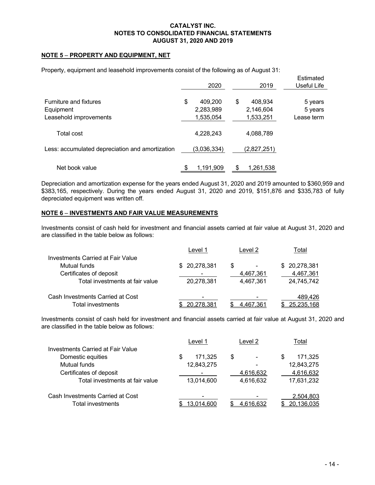### NOTE 5 – PROPERTY AND EQUIPMENT, NET

Property, equipment and leasehold improvements consist of the following as of August 31:

|                                                               | 2020                                    | 2019                                    | Estimated<br>Useful Life         |
|---------------------------------------------------------------|-----------------------------------------|-----------------------------------------|----------------------------------|
| Furniture and fixtures<br>Equipment<br>Leasehold improvements | \$<br>409,200<br>2,283,989<br>1,535,054 | 408,934<br>\$<br>2,146,604<br>1,533,251 | 5 years<br>5 years<br>Lease term |
| Total cost                                                    | 4,228,243                               | 4,088,789                               |                                  |
| Less: accumulated depreciation and amortization               | (3,036,334)                             | (2,827,251)                             |                                  |
| Net book value                                                | 1,191,909                               | 1,261,538                               |                                  |

Depreciation and amortization expense for the years ended August 31, 2020 and 2019 amounted to \$360,959 and \$383,165, respectively. During the years ended August 31, 2020 and 2019, \$151,876 and \$335,783 of fully depreciated equipment was written off.

#### NOTE 6 – INVESTMENTS AND FAIR VALUE MEASUREMENTS

Investments consist of cash held for investment and financial assets carried at fair value at August 31, 2020 and are classified in the table below as follows:

|                                   | Level 1       | Level 2   | ⊺otal         |
|-----------------------------------|---------------|-----------|---------------|
| Investments Carried at Fair Value |               |           |               |
| Mutual funds                      | \$ 20,278,381 | \$        | \$ 20,278,381 |
| Certificates of deposit           |               | 4,467,361 | 4,467,361     |
| Total investments at fair value   | 20,278,381    | 4.467.361 | 24,745,742    |
| Cash Investments Carried at Cost  | -             |           | 489,426       |
| Total investments                 | 20,278,381    | 4,467,361 | 25,235,168    |

Investments consist of cash held for investment and financial assets carried at fair value at August 31, 2020 and are classified in the table below as follows:

|                                   | Level 1           | Level 2   | Total         |
|-----------------------------------|-------------------|-----------|---------------|
| Investments Carried at Fair Value |                   |           |               |
| Domestic equities                 | 171,325<br>\$     | \$        | 171,325<br>\$ |
| Mutual funds                      | 12,843,275        |           | 12,843,275    |
| Certificates of deposit           |                   | 4,616,632 | 4,616,632     |
| Total investments at fair value   | 13,014,600        | 4,616,632 | 17,631,232    |
| Cash Investments Carried at Cost  |                   |           | 2,504,803     |
| <b>Total investments</b>          | <u>13,014,600</u> | 4,616,632 | 20,136,035    |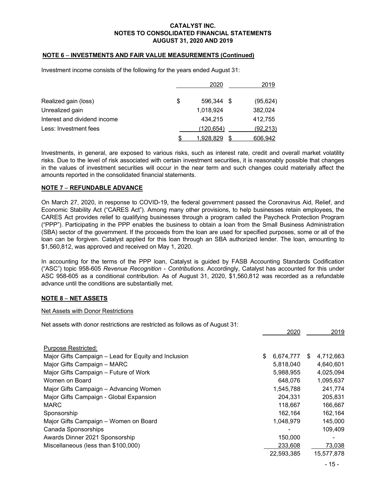#### NOTE 6 – INVESTMENTS AND FAIR VALUE MEASUREMENTS (Continued)

Investment income consists of the following for the years ended August 31:

|                              | 2020             | 2019      |
|------------------------------|------------------|-----------|
| Realized gain (loss)         | \$<br>596.344 \$ | (95, 624) |
| Unrealized gain              | 1,018,924        | 382,024   |
| Interest and dividend income | 434,215          | 412,755   |
| Less: Investment fees        | (120,654)        | (92, 213) |
|                              | 1,928,829        | 606,942   |

Investments, in general, are exposed to various risks, such as interest rate, credit and overall market volatility risks. Due to the level of risk associated with certain investment securities, it is reasonably possible that changes in the values of investment securities will occur in the near term and such changes could materially affect the amounts reported in the consolidated financial statements.

#### NOTE 7 – REFUNDABLE ADVANCE

On March 27, 2020, in response to COVID-19, the federal government passed the Coronavirus Aid, Relief, and Economic Stability Act ("CARES Act"). Among many other provisions, to help businesses retain employees, the CARES Act provides relief to qualifying businesses through a program called the Paycheck Protection Program ("PPP"). Participating in the PPP enables the business to obtain a loan from the Small Business Administration (SBA) sector of the government. If the proceeds from the loan are used for specified purposes, some or all of the loan can be forgiven. Catalyst applied for this loan through an SBA authorized lender. The loan, amounting to \$1,560,812, was approved and received on May 1, 2020.

In accounting for the terms of the PPP loan, Catalyst is guided by FASB Accounting Standards Codification ("ASC") topic 958-605 Revenue Recognition - Contributions. Accordingly, Catalyst has accounted for this under ASC 958-605 as a conditional contribution. As of August 31, 2020, \$1,560,812 was recorded as a refundable advance until the conditions are substantially met.

#### NOTE 8 – NET ASSETS

#### Net Assets with Donor Restrictions

Net assets with donor restrictions are restricted as follows as of August 31:

|                                                      | 2020            |     | 2019       |
|------------------------------------------------------|-----------------|-----|------------|
| <b>Purpose Restricted:</b>                           |                 |     |            |
| Major Gifts Campaign - Lead for Equity and Inclusion | \$<br>6,674,777 | -SS | 4,712,663  |
| Major Gifts Campaign - MARC                          | 5,818,040       |     | 4,640,601  |
| Major Gifts Campaign - Future of Work                | 5,988,955       |     | 4,025,094  |
| Women on Board                                       | 648,076         |     | 1,095,637  |
| Major Gifts Campaign - Advancing Women               | 1,545,788       |     | 241,774    |
| Major Gifts Campaign - Global Expansion              | 204,331         |     | 205,831    |
| <b>MARC</b>                                          | 118,667         |     | 166,667    |
| Sponsorship                                          | 162,164         |     | 162,164    |
| Major Gifts Campaign - Women on Board                | 1,048,979       |     | 145,000    |
| Canada Sponsorships                                  |                 |     | 109,409    |
| Awards Dinner 2021 Sponsorship                       | 150,000         |     |            |
| Miscellaneous (less than \$100,000)                  | 233,608         |     | 73,038     |
|                                                      | 22,593,385      |     | 15,577,878 |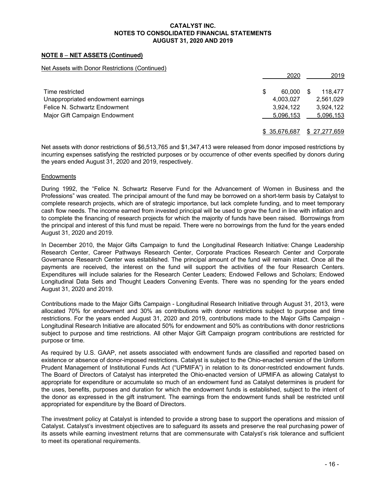#### NOTE 8 – NET ASSETS (Continued)

Net Assets with Donor Restrictions (Continued)

|                                   |   | 2020         | 2019         |
|-----------------------------------|---|--------------|--------------|
| Time restricted                   | S | 60.000       | 118.477      |
| Unappropriated endowment earnings |   | 4,003,027    | 2,561,029    |
| Felice N. Schwartz Endowment      |   | 3,924,122    | 3,924,122    |
| Major Gift Campaign Endowment     |   | 5,096,153    | 5,096,153    |
|                                   |   | \$35,676,687 | \$27,277,659 |

Net assets with donor restrictions of \$6,513,765 and \$1,347,413 were released from donor imposed restrictions by incurring expenses satisfying the restricted purposes or by occurrence of other events specified by donors during the years ended August 31, 2020 and 2019, respectively.

#### **Endowments**

During 1992, the "Felice N. Schwartz Reserve Fund for the Advancement of Women in Business and the Professions" was created. The principal amount of the fund may be borrowed on a short-term basis by Catalyst to complete research projects, which are of strategic importance, but lack complete funding, and to meet temporary cash flow needs. The income earned from invested principal will be used to grow the fund in line with inflation and to complete the financing of research projects for which the majority of funds have been raised. Borrowings from the principal and interest of this fund must be repaid. There were no borrowings from the fund for the years ended August 31, 2020 and 2019.

In December 2010, the Major Gifts Campaign to fund the Longitudinal Research Initiative: Change Leadership Research Center, Career Pathways Research Center, Corporate Practices Research Center and Corporate Governance Research Center was established. The principal amount of the fund will remain intact. Once all the payments are received, the interest on the fund will support the activities of the four Research Centers. Expenditures will include salaries for the Research Center Leaders; Endowed Fellows and Scholars; Endowed Longitudinal Data Sets and Thought Leaders Convening Events. There was no spending for the years ended August 31, 2020 and 2019.

Contributions made to the Major Gifts Campaign - Longitudinal Research Initiative through August 31, 2013, were allocated 70% for endowment and 30% as contributions with donor restrictions subject to purpose and time restrictions. For the years ended August 31, 2020 and 2019, contributions made to the Major Gifts Campaign - Longitudinal Research Initiative are allocated 50% for endowment and 50% as contributions with donor restrictions subject to purpose and time restrictions. All other Major Gift Campaign program contributions are restricted for purpose or time.

As required by U.S. GAAP, net assets associated with endowment funds are classified and reported based on existence or absence of donor-imposed restrictions. Catalyst is subject to the Ohio-enacted version of the Uniform Prudent Management of Institutional Funds Act ("UPMIFA") in relation to its donor-restricted endowment funds. The Board of Directors of Catalyst has interpreted the Ohio-enacted version of UPMIFA as allowing Catalyst to appropriate for expenditure or accumulate so much of an endowment fund as Catalyst determines is prudent for the uses, benefits, purposes and duration for which the endowment funds is established, subject to the intent of the donor as expressed in the gift instrument. The earnings from the endowment funds shall be restricted until appropriated for expenditure by the Board of Directors.

The investment policy at Catalyst is intended to provide a strong base to support the operations and mission of Catalyst. Catalyst's investment objectives are to safeguard its assets and preserve the real purchasing power of its assets while earning investment returns that are commensurate with Catalyst's risk tolerance and sufficient to meet its operational requirements.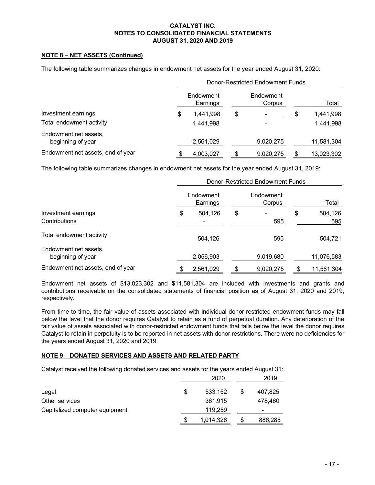#### NOTE 8 – NET ASSETS (Continued)

The following table summarizes changes in endowment net assets for the year ended August 31, 2020:

|                                            | Donor-Restricted Endowment Funds |                       |   |                     |  |            |
|--------------------------------------------|----------------------------------|-----------------------|---|---------------------|--|------------|
|                                            |                                  | Endowment<br>Earnings |   | Endowment<br>Corpus |  | Total      |
| Investment earnings                        |                                  | 1,441,998             |   |                     |  | 1,441,998  |
| Total endowment activity                   |                                  | 1,441,998             |   |                     |  | 1,441,998  |
| Endowment net assets,<br>beginning of year |                                  | 2,561,029             |   | 9,020,275           |  | 11,581,304 |
| Endowment net assets, end of year          |                                  | 4,003,027             | S | 9,020,275           |  | 13,023,302 |

The following table summarizes changes in endowment net assets for the year ended August 31, 2019:

|                                            | Donor-Restricted Endowment Funds |                       |    |                     |    |                |
|--------------------------------------------|----------------------------------|-----------------------|----|---------------------|----|----------------|
|                                            |                                  | Endowment<br>Earnings |    | Endowment<br>Corpus |    | Total          |
| Investment earnings<br>Contributions       | \$                               | 504,126               | \$ | 595                 | \$ | 504,126<br>595 |
| Total endowment activity                   |                                  | 504.126               |    | 595                 |    | 504,721        |
| Endowment net assets,<br>beginning of year |                                  | 2,056,903             |    | 9,019,680           |    | 11,076,583     |
| Endowment net assets, end of year          | \$                               | 2,561,029             | \$ | 9,020,275           | S  | 11,581,304     |

Endowment net assets of \$13,023,302 and \$11,581,304 are included with investments and grants and contributions receivable on the consolidated statements of financial position as of August 31, 2020 and 2019, respectively.

From time to time, the fair value of assets associated with individual donor-restricted endowment funds may fall below the level that the donor requires Catalyst to retain as a fund of perpetual duration. Any deterioration of the fair value of assets associated with donor-restricted endowment funds that falls below the level the donor requires Catalyst to retain in perpetuity is to be reported in net assets with donor restrictions. There were no deficiencies for the years ended August 31, 2020 and 2019.

#### NOTE 9 – DONATED SERVICES AND ASSETS AND RELATED PARTY

Catalyst received the following donated services and assets for the years ended August 31:

|                                |    | 2020      |    | 2019    |
|--------------------------------|----|-----------|----|---------|
| Legal                          | \$ | 533,152   | S  | 407,825 |
| Other services                 |    | 361,915   |    | 478,460 |
| Capitalized computer equipment |    | 119,259   |    | -       |
|                                | S  | 1,014,326 | \$ | 886,285 |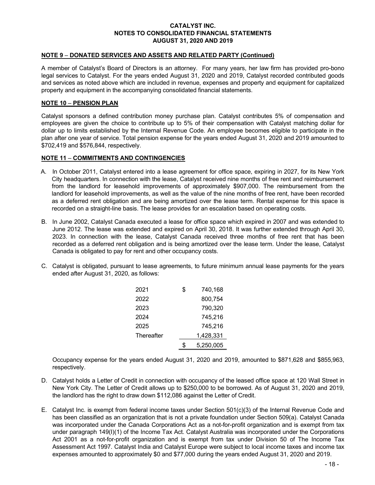#### NOTE 9 – DONATED SERVICES AND ASSETS AND RELATED PARTY (Continued)

A member of Catalyst's Board of Directors is an attorney. For many years, her law firm has provided pro-bono legal services to Catalyst. For the years ended August 31, 2020 and 2019, Catalyst recorded contributed goods and services as noted above which are included in revenue, expenses and property and equipment for capitalized property and equipment in the accompanying consolidated financial statements.

#### NOTE 10 – PENSION PLAN

Catalyst sponsors a defined contribution money purchase plan. Catalyst contributes 5% of compensation and employees are given the choice to contribute up to 5% of their compensation with Catalyst matching dollar for dollar up to limits established by the Internal Revenue Code. An employee becomes eligible to participate in the plan after one year of service. Total pension expense for the years ended August 31, 2020 and 2019 amounted to \$702,419 and \$576,844, respectively.

#### NOTE 11 – COMMITMENTS AND CONTINGENCIES

- A. In October 2011, Catalyst entered into a lease agreement for office space, expiring in 2027, for its New York City headquarters. In connection with the lease, Catalyst received nine months of free rent and reimbursement from the landlord for leasehold improvements of approximately \$907,000. The reimbursement from the landlord for leasehold improvements, as well as the value of the nine months of free rent, have been recorded as a deferred rent obligation and are being amortized over the lease term. Rental expense for this space is recorded on a straight-line basis. The lease provides for an escalation based on operating costs.
- B. In June 2002, Catalyst Canada executed a lease for office space which expired in 2007 and was extended to June 2012. The lease was extended and expired on April 30, 2018. It was further extended through April 30, 2023. In connection with the lease, Catalyst Canada received three months of free rent that has been recorded as a deferred rent obligation and is being amortized over the lease term. Under the lease, Catalyst Canada is obligated to pay for rent and other occupancy costs.
- C. Catalyst is obligated, pursuant to lease agreements, to future minimum annual lease payments for the years ended after August 31, 2020, as follows:

| 2021       | \$ | 740,168   |
|------------|----|-----------|
| 2022       |    | 800.754   |
| 2023       |    | 790,320   |
| 2024       |    | 745,216   |
| 2025       |    | 745,216   |
| Thereafter |    | 1,428,331 |
|            | S. | 5,250,005 |

Occupancy expense for the years ended August 31, 2020 and 2019, amounted to \$871,628 and \$855,963, respectively.

- D. Catalyst holds a Letter of Credit in connection with occupancy of the leased office space at 120 Wall Street in New York City. The Letter of Credit allows up to \$250,000 to be borrowed. As of August 31, 2020 and 2019, the landlord has the right to draw down \$112,086 against the Letter of Credit.
- E. Catalyst Inc. is exempt from federal income taxes under Section 501(c)(3) of the Internal Revenue Code and has been classified as an organization that is not a private foundation under Section 509(a). Catalyst Canada was incorporated under the Canada Corporations Act as a not-for-profit organization and is exempt from tax under paragraph 149(I)(1) of the Income Tax Act. Catalyst Australia was incorporated under the Corporations Act 2001 as a not-for-profit organization and is exempt from tax under Division 50 of The Income Tax Assessment Act 1997. Catalyst India and Catalyst Europe were subject to local income taxes and income tax expenses amounted to approximately \$0 and \$77,000 during the years ended August 31, 2020 and 2019.